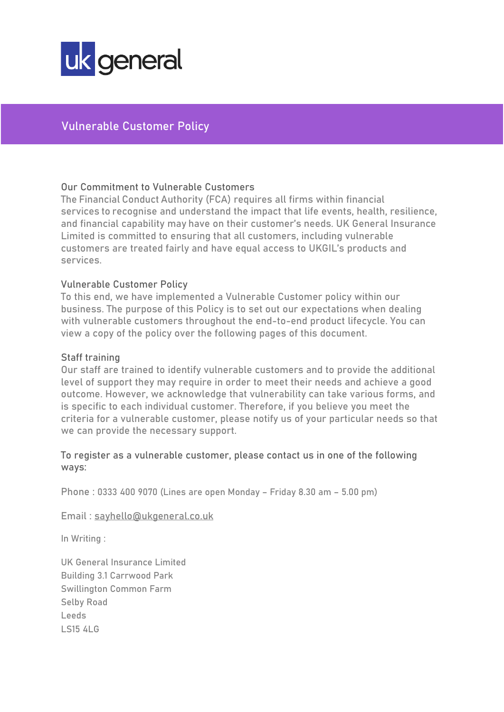

# Vulnerable Customer Policy

# Our Commitment to Vulnerable Customers

The Financial Conduct Authority (FCA) requires all firms within financial services to recognise and understand the impact that life events, health, resilience, and financial capability may have on their customer's needs. UK General Insurance Limited is committed to ensuring that all customers, including vulnerable customers are treated fairly and have equal access to UKGIL's products and services.

# Vulnerable Customer Policy

To this end, we have implemented a Vulnerable Customer policy within our business. The purpose of this Policy is to set out our expectations when dealing with vulnerable customers throughout the end-to-end product lifecycle. You can view a copy of the policy over the following pages of this document.

## Staff training

Our staff are trained to identify vulnerable customers and to provide the additional level of support they may require in order to meet their needs and achieve a good outcome. However, we acknowledge that vulnerability can take various forms, and is specific to each individual customer. Therefore, if you believe you meet the criteria for a vulnerable customer, please notify us of your particular needs so that we can provide the necessary support.

# To register as a vulnerable customer, please contact us in one of the following ways:

Phone : 0333 400 9070 (Lines are open Monday – Friday 8.30 am – 5.00 pm)

Email : [sayhello@ukgeneral.co.uk](mailto:sayhello@ukgeneral.co.uk)

In Writing :

UK General Insurance Limited Building 3.1 Carrwood Park Swillington Common Farm Selby Road Leeds LS15 4LG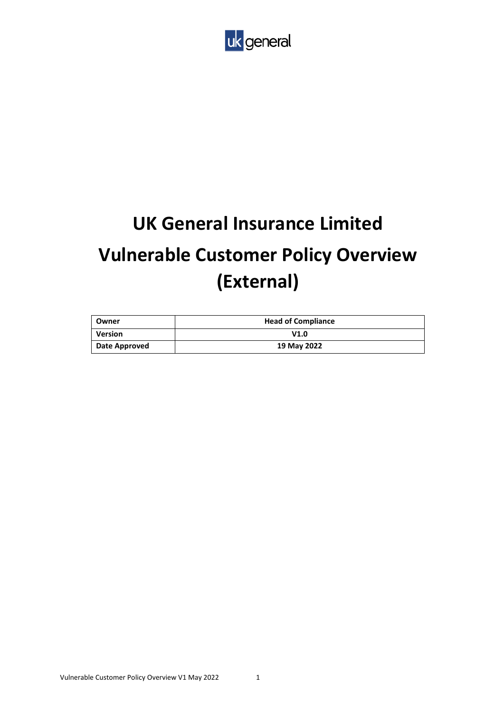

# **UK General Insurance Limited Vulnerable Customer Policy Overview (External)**

| Owner         | <b>Head of Compliance</b> |  |
|---------------|---------------------------|--|
| Version       | V1.0                      |  |
| Date Approved | 19 May 2022               |  |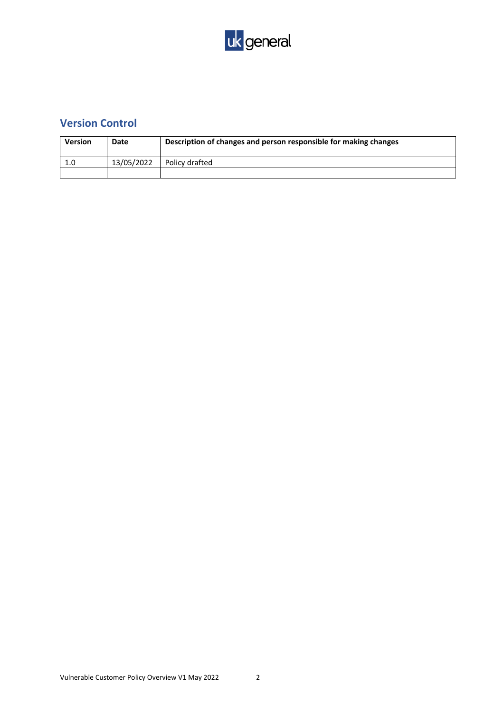

# **Version Control**

| <b>Version</b> | Date       | Description of changes and person responsible for making changes |
|----------------|------------|------------------------------------------------------------------|
| 1.0            | 13/05/2022 | Policy drafted                                                   |
|                |            |                                                                  |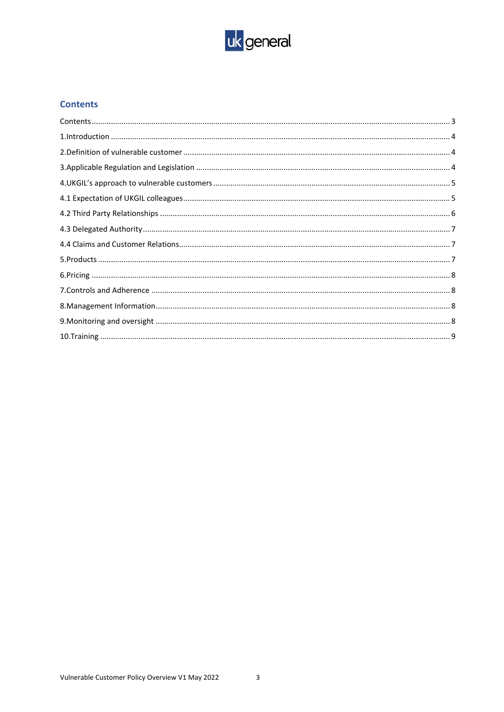

## <span id="page-3-0"></span>**Contents**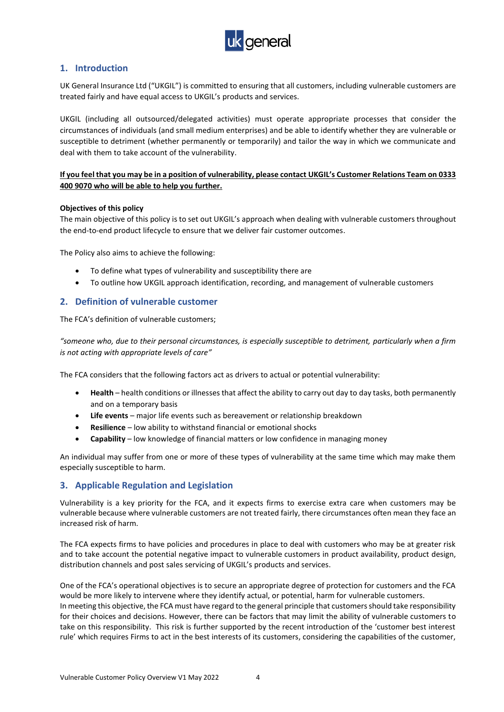

## <span id="page-4-0"></span>**1. Introduction**

UK General Insurance Ltd ("UKGIL") is committed to ensuring that all customers, including vulnerable customers are treated fairly and have equal access to UKGIL's products and services.

UKGIL (including all outsourced/delegated activities) must operate appropriate processes that consider the circumstances of individuals (and small medium enterprises) and be able to identify whether they are vulnerable or susceptible to detriment (whether permanently or temporarily) and tailor the way in which we communicate and deal with them to take account of the vulnerability.

#### **If you feel that you may be in a position of vulnerability, please contact UKGIL's Customer Relations Team on 0333 400 9070 who will be able to help you further.**

#### **Objectives of this policy**

The main objective of this policy is to set out UKGIL's approach when dealing with vulnerable customers throughout the end-to-end product lifecycle to ensure that we deliver fair customer outcomes.

The Policy also aims to achieve the following:

- To define what types of vulnerability and susceptibility there are
- To outline how UKGIL approach identification, recording, and management of vulnerable customers

#### <span id="page-4-1"></span>**2. Definition of vulnerable customer**

The FCA's definition of vulnerable customers;

*"someone who, due to their personal circumstances, is especially susceptible to detriment, particularly when a firm is not acting with appropriate levels of care"* 

The FCA considers that the following factors act as drivers to actual or potential vulnerability:

- **Health** health conditions or illnesses that affect the ability to carry out day to day tasks, both permanently and on a temporary basis
- **Life events** major life events such as bereavement or relationship breakdown
- **Resilience** low ability to withstand financial or emotional shocks
- **Capability** low knowledge of financial matters or low confidence in managing money

An individual may suffer from one or more of these types of vulnerability at the same time which may make them especially susceptible to harm.

#### <span id="page-4-2"></span>**3. Applicable Regulation and Legislation**

Vulnerability is a key priority for the FCA, and it expects firms to exercise extra care when customers may be vulnerable because where vulnerable customers are not treated fairly, there circumstances often mean they face an increased risk of harm.

The FCA expects firms to have policies and procedures in place to deal with customers who may be at greater risk and to take account the potential negative impact to vulnerable customers in product availability, product design, distribution channels and post sales servicing of UKGIL's products and services.

One of the FCA's operational objectives is to secure an appropriate degree of protection for customers and the FCA would be more likely to intervene where they identify actual, or potential, harm for vulnerable customers. In meeting this objective, the FCA must have regard to the general principle that customers should take responsibility for their choices and decisions. However, there can be factors that may limit the ability of vulnerable customers to take on this responsibility. This risk is further supported by the recent introduction of the 'customer best interest rule' which requires Firms to act in the best interests of its customers, considering the capabilities of the customer,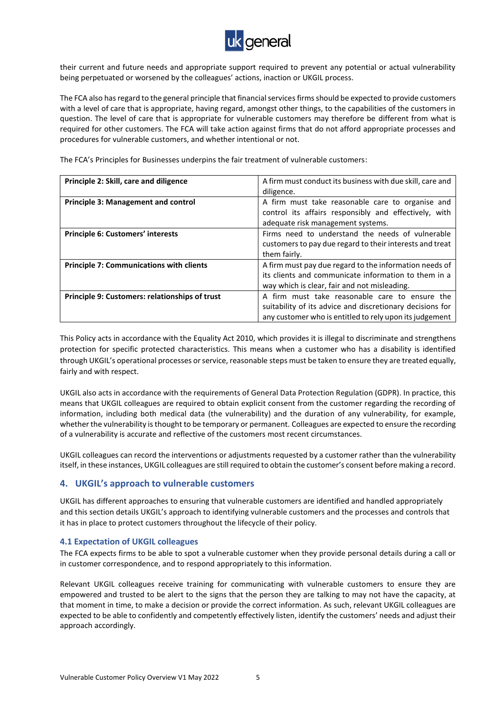

their current and future needs and appropriate support required to prevent any potential or actual vulnerability being perpetuated or worsened by the colleagues' actions, inaction or UKGIL process.

The FCA also has regard to the general principle that financial services firms should be expected to provide customers with a level of care that is appropriate, having regard, amongst other things, to the capabilities of the customers in question. The level of care that is appropriate for vulnerable customers may therefore be different from what is required for other customers. The FCA will take action against firms that do not afford appropriate processes and procedures for vulnerable customers, and whether intentional or not.

**Principle 2: Skill, care and diligence** A firm must conduct its business with due skill, care and diligence. **Principle 3: Management and control <b>A** firm must take reasonable care to organise and control its affairs responsibly and effectively, with adequate risk management systems. **Principle 6: Customers' interests** Firms need to understand the needs of vulnerable customers to pay due regard to their interests and treat them fairly. **Principle 7: Communications with clients** A firm must pay due regard to the information needs of its clients and communicate information to them in a way which is clear, fair and not misleading. **Principle 9: Customers: relationships of trust** A firm must take reasonable care to ensure the suitability of its advice and discretionary decisions for any customer who is entitled to rely upon its judgement

The FCA's Principles for Businesses underpins the fair treatment of vulnerable customers:

This Policy acts in accordance with the Equality Act 2010, which provides it is illegal to discriminate and strengthens protection for specific protected characteristics. This means when a customer who has a disability is identified through UKGIL's operational processes or service, reasonable steps must be taken to ensure they are treated equally, fairly and with respect.

UKGIL also acts in accordance with the requirements of General Data Protection Regulation (GDPR). In practice, this means that UKGIL colleagues are required to obtain explicit consent from the customer regarding the recording of information, including both medical data (the vulnerability) and the duration of any vulnerability, for example, whether the vulnerability is thought to be temporary or permanent. Colleagues are expected to ensure the recording of a vulnerability is accurate and reflective of the customers most recent circumstances.

UKGIL colleagues can record the interventions or adjustments requested by a customer rather than the vulnerability itself, in these instances, UKGIL colleagues are still required to obtain the customer's consent before making a record.

#### <span id="page-5-0"></span>**4. UKGIL's approach to vulnerable customers**

UKGIL has different approaches to ensuring that vulnerable customers are identified and handled appropriately and this section details UKGIL's approach to identifying vulnerable customers and the processes and controls that it has in place to protect customers throughout the lifecycle of their policy.

#### <span id="page-5-1"></span>**4.1 Expectation of UKGIL colleagues**

The FCA expects firms to be able to spot a vulnerable customer when they provide personal details during a call or in customer correspondence, and to respond appropriately to this information.

Relevant UKGIL colleagues receive training for communicating with vulnerable customers to ensure they are empowered and trusted to be alert to the signs that the person they are talking to may not have the capacity, at that moment in time, to make a decision or provide the correct information. As such, relevant UKGIL colleagues are expected to be able to confidently and competently effectively listen, identify the customers' needs and adjust their approach accordingly.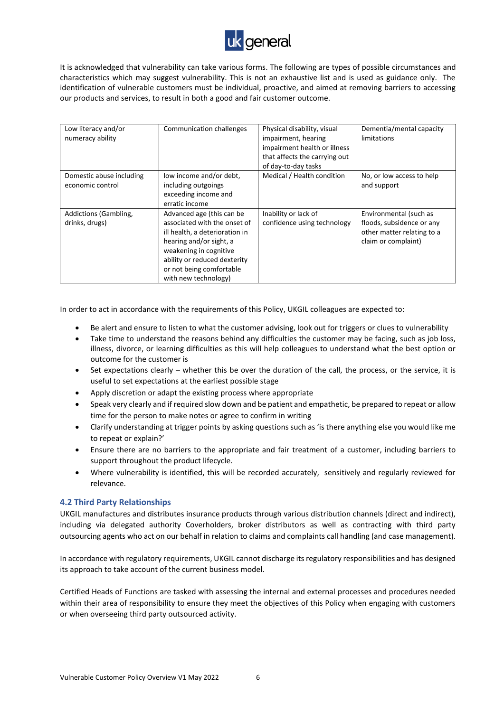

It is acknowledged that vulnerability can take various forms. The following are types of possible circumstances and characteristics which may suggest vulnerability. This is not an exhaustive list and is used as guidance only. The identification of vulnerable customers must be individual, proactive, and aimed at removing barriers to accessing our products and services, to result in both a good and fair customer outcome.

| Low literacy and/or<br>numeracy ability      | Communication challenges                                                                                                                                                                                                             | Physical disability, visual<br>impairment, hearing<br>impairment health or illness<br>that affects the carrying out<br>of day-to-day tasks | Dementia/mental capacity<br>limitations                                                                  |
|----------------------------------------------|--------------------------------------------------------------------------------------------------------------------------------------------------------------------------------------------------------------------------------------|--------------------------------------------------------------------------------------------------------------------------------------------|----------------------------------------------------------------------------------------------------------|
| Domestic abuse including<br>economic control | low income and/or debt,<br>including outgoings<br>exceeding income and<br>erratic income                                                                                                                                             | Medical / Health condition                                                                                                                 | No, or low access to help<br>and support                                                                 |
| Addictions (Gambling,<br>drinks, drugs)      | Advanced age (this can be<br>associated with the onset of<br>ill health, a deterioration in<br>hearing and/or sight, a<br>weakening in cognitive<br>ability or reduced dexterity<br>or not being comfortable<br>with new technology) | Inability or lack of<br>confidence using technology                                                                                        | Environmental (such as<br>floods, subsidence or any<br>other matter relating to a<br>claim or complaint) |

In order to act in accordance with the requirements of this Policy, UKGIL colleagues are expected to:

- Be alert and ensure to listen to what the customer advising, look out for triggers or clues to vulnerability
- Take time to understand the reasons behind any difficulties the customer may be facing, such as job loss, illness, divorce, or learning difficulties as this will help colleagues to understand what the best option or outcome for the customer is
- Set expectations clearly whether this be over the duration of the call, the process, or the service, it is useful to set expectations at the earliest possible stage
- Apply discretion or adapt the existing process where appropriate
- Speak very clearly and if required slow down and be patient and empathetic, be prepared to repeat or allow time for the person to make notes or agree to confirm in writing
- Clarify understanding at trigger points by asking questions such as 'is there anything else you would like me to repeat or explain?'
- Ensure there are no barriers to the appropriate and fair treatment of a customer, including barriers to support throughout the product lifecycle.
- Where vulnerability is identified, this will be recorded accurately, sensitively and regularly reviewed for relevance.

#### <span id="page-6-0"></span>**4.2 Third Party Relationships**

UKGIL manufactures and distributes insurance products through various distribution channels (direct and indirect), including via delegated authority Coverholders, broker distributors as well as contracting with third party outsourcing agents who act on our behalf in relation to claims and complaints call handling (and case management).

In accordance with regulatory requirements, UKGIL cannot discharge its regulatory responsibilities and has designed its approach to take account of the current business model.

Certified Heads of Functions are tasked with assessing the internal and external processes and procedures needed within their area of responsibility to ensure they meet the objectives of this Policy when engaging with customers or when overseeing third party outsourced activity.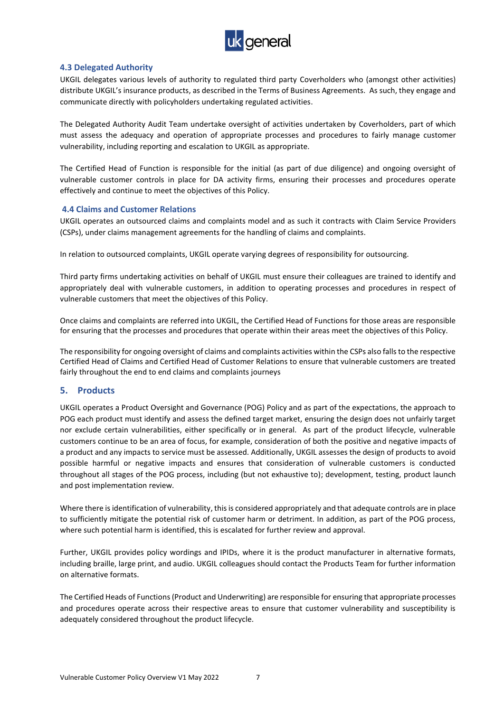

#### <span id="page-7-0"></span>**4.3 Delegated Authority**

UKGIL delegates various levels of authority to regulated third party Coverholders who (amongst other activities) distribute UKGIL's insurance products, as described in the Terms of Business Agreements. As such, they engage and communicate directly with policyholders undertaking regulated activities.

The Delegated Authority Audit Team undertake oversight of activities undertaken by Coverholders, part of which must assess the adequacy and operation of appropriate processes and procedures to fairly manage customer vulnerability, including reporting and escalation to UKGIL as appropriate.

The Certified Head of Function is responsible for the initial (as part of due diligence) and ongoing oversight of vulnerable customer controls in place for DA activity firms, ensuring their processes and procedures operate effectively and continue to meet the objectives of this Policy.

#### <span id="page-7-1"></span>**4.4 Claims and Customer Relations**

UKGIL operates an outsourced claims and complaints model and as such it contracts with Claim Service Providers (CSPs), under claims management agreements for the handling of claims and complaints.

In relation to outsourced complaints, UKGIL operate varying degrees of responsibility for outsourcing.

Third party firms undertaking activities on behalf of UKGIL must ensure their colleagues are trained to identify and appropriately deal with vulnerable customers, in addition to operating processes and procedures in respect of vulnerable customers that meet the objectives of this Policy.

Once claims and complaints are referred into UKGIL, the Certified Head of Functions for those areas are responsible for ensuring that the processes and procedures that operate within their areas meet the objectives of this Policy.

The responsibility for ongoing oversight of claims and complaints activities within the CSPs also falls to the respective Certified Head of Claims and Certified Head of Customer Relations to ensure that vulnerable customers are treated fairly throughout the end to end claims and complaints journeys

#### <span id="page-7-2"></span>**5. Products**

UKGIL operates a Product Oversight and Governance (POG) Policy and as part of the expectations, the approach to POG each product must identify and assess the defined target market, ensuring the design does not unfairly target nor exclude certain vulnerabilities, either specifically or in general. As part of the product lifecycle, vulnerable customers continue to be an area of focus, for example, consideration of both the positive and negative impacts of a product and any impacts to service must be assessed. Additionally, UKGIL assesses the design of products to avoid possible harmful or negative impacts and ensures that consideration of vulnerable customers is conducted throughout all stages of the POG process, including (but not exhaustive to); development, testing, product launch and post implementation review.

Where there is identification of vulnerability, this is considered appropriately and that adequate controls are in place to sufficiently mitigate the potential risk of customer harm or detriment. In addition, as part of the POG process, where such potential harm is identified, this is escalated for further review and approval.

Further, UKGIL provides policy wordings and IPIDs, where it is the product manufacturer in alternative formats, including braille, large print, and audio. UKGIL colleagues should contact the Products Team for further information on alternative formats.

The Certified Heads of Functions (Product and Underwriting) are responsible for ensuring that appropriate processes and procedures operate across their respective areas to ensure that customer vulnerability and susceptibility is adequately considered throughout the product lifecycle.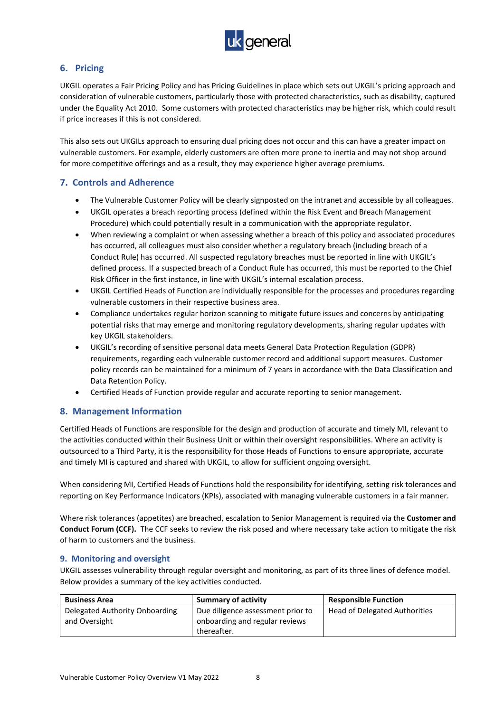

# <span id="page-8-0"></span>**6. Pricing**

UKGIL operates a Fair Pricing Policy and has Pricing Guidelines in place which sets out UKGIL's pricing approach and consideration of vulnerable customers, particularly those with protected characteristics, such as disability, captured under the Equality Act 2010. Some customers with protected characteristics may be higher risk, which could result if price increases if this is not considered.

This also sets out UKGILs approach to ensuring dual pricing does not occur and this can have a greater impact on vulnerable customers. For example, elderly customers are often more prone to inertia and may not shop around for more competitive offerings and as a result, they may experience higher average premiums.

#### <span id="page-8-1"></span>**7. Controls and Adherence**

- The Vulnerable Customer Policy will be clearly signposted on the intranet and accessible by all colleagues.
- UKGIL operates a breach reporting process (defined within the Risk Event and Breach Management Procedure) which could potentially result in a communication with the appropriate regulator.
- When reviewing a complaint or when assessing whether a breach of this policy and associated procedures has occurred, all colleagues must also consider whether a regulatory breach (including breach of a Conduct Rule) has occurred. All suspected regulatory breaches must be reported in line with UKGIL's defined process. If a suspected breach of a Conduct Rule has occurred, this must be reported to the Chief Risk Officer in the first instance, in line with UKGIL's internal escalation process.
- UKGIL Certified Heads of Function are individually responsible for the processes and procedures regarding vulnerable customers in their respective business area.
- Compliance undertakes regular horizon scanning to mitigate future issues and concerns by anticipating potential risks that may emerge and monitoring regulatory developments, sharing regular updates with key UKGIL stakeholders.
- UKGIL's recording of sensitive personal data meets General Data Protection Regulation (GDPR) requirements, regarding each vulnerable customer record and additional support measures. Customer policy records can be maintained for a minimum of 7 years in accordance with the Data Classification and Data Retention Policy.
- Certified Heads of Function provide regular and accurate reporting to senior management.

#### <span id="page-8-2"></span>**8. Management Information**

Certified Heads of Functions are responsible for the design and production of accurate and timely MI, relevant to the activities conducted within their Business Unit or within their oversight responsibilities. Where an activity is outsourced to a Third Party, it is the responsibility for those Heads of Functions to ensure appropriate, accurate and timely MI is captured and shared with UKGIL, to allow for sufficient ongoing oversight.

When considering MI, Certified Heads of Functions hold the responsibility for identifying, setting risk tolerances and reporting on Key Performance Indicators (KPIs), associated with managing vulnerable customers in a fair manner.

Where risk tolerances (appetites) are breached, escalation to Senior Management is required via the **Customer and Conduct Forum (CCF).** The CCF seeks to review the risk posed and where necessary take action to mitigate the risk of harm to customers and the business.

#### <span id="page-8-3"></span>**9. Monitoring and oversight**

UKGIL assesses vulnerability through regular oversight and monitoring, as part of its three lines of defence model. Below provides a summary of the key activities conducted.

| <b>Business Area</b>           | <b>Summary of activity</b>        | <b>Responsible Function</b>   |
|--------------------------------|-----------------------------------|-------------------------------|
| Delegated Authority Onboarding | Due diligence assessment prior to | Head of Delegated Authorities |
| and Oversight                  | onboarding and regular reviews    |                               |
|                                | thereafter.                       |                               |